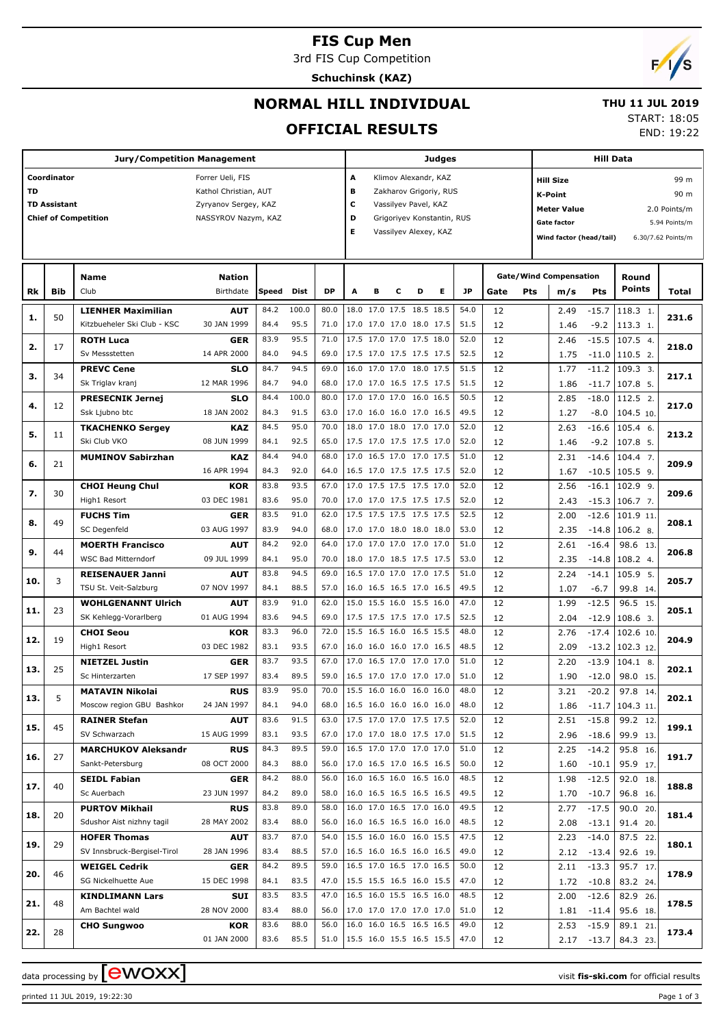# **FIS Cup Men**

3rd FIS Cup Competition

**Schuchinsk (KAZ)**



END: 19:22

## **NORMAL HILL INDIVIDUAL**

#### **THU 11 JUL 2019** START: 18:05

**OFFICIAL RESULTS**

|           |                     | <b>Jury/Competition Management</b>                 |                           |       |       | Judges    |                           |        | <b>Hill Data</b>           |   |      |          |     |                               |                   |                          |                    |  |  |
|-----------|---------------------|----------------------------------------------------|---------------------------|-------|-------|-----------|---------------------------|--------|----------------------------|---|------|----------|-----|-------------------------------|-------------------|--------------------------|--------------------|--|--|
|           | Coordinator         |                                                    | Forrer Ueli, FIS          |       |       |           | А<br>Klimov Alexandr, KAZ |        |                            |   |      |          |     | 99 m<br><b>Hill Size</b>      |                   |                          |                    |  |  |
| <b>TD</b> |                     |                                                    | Kathol Christian, AUT     |       |       |           | в                         |        | Zakharov Grigoriy, RUS     |   |      |          |     | <b>K-Point</b>                |                   |                          | 90 m               |  |  |
|           | <b>TD Assistant</b> |                                                    | Zyryanov Sergey, KAZ      |       |       |           | с                         |        | Vassilyev Pavel, KAZ       |   |      |          |     | <b>Meter Value</b>            |                   |                          | 2.0 Points/m       |  |  |
|           |                     | <b>Chief of Competition</b>                        | NASSYROV Nazym, KAZ       |       |       |           | D                         |        | Grigoriyev Konstantin, RUS |   |      |          |     | <b>Gate factor</b>            |                   | 5.94 Points/m            |                    |  |  |
|           |                     |                                                    |                           |       |       |           | E                         |        | Vassilyev Alexey, KAZ      |   |      |          |     | Wind factor (head/tail)       |                   |                          | 6.30/7.62 Points/m |  |  |
|           |                     |                                                    |                           |       |       |           |                           |        |                            |   |      |          |     |                               |                   |                          |                    |  |  |
|           |                     |                                                    |                           |       |       |           |                           |        |                            |   |      |          |     |                               |                   |                          |                    |  |  |
|           |                     | <b>Name</b>                                        | <b>Nation</b>             |       |       |           |                           |        |                            |   |      |          |     | <b>Gate/Wind Compensation</b> |                   | Round                    |                    |  |  |
| Rk        | Bib                 | Club                                               | Birthdate                 | Speed | Dist  | <b>DP</b> | A                         | в<br>с | D                          | Е | JP   | Gate     | Pts | m/s                           | Pts               | <b>Points</b>            | Total              |  |  |
|           |                     | <b>LIENHER Maximilian</b>                          | <b>AUT</b>                | 84.2  | 100.0 | 80.0      | 18.0 17.0 17.5 18.5 18.5  |        |                            |   | 54.0 | 12       |     | 2.49                          | $-15.7$           | 118.3 1.                 |                    |  |  |
| 1.        | 50                  | Kitzbueheler Ski Club - KSC                        | 30 JAN 1999               | 84.4  | 95.5  | 71.0      | 17.0 17.0 17.0 18.0 17.5  |        |                            |   | 51.5 | 12       |     | 1.46                          | $-9.2$            | 113.3 1.                 | 231.6              |  |  |
|           |                     | <b>ROTH Luca</b>                                   | <b>GER</b>                | 83.9  | 95.5  | 71.0      | 17.5 17.0 17.0 17.5 18.0  |        |                            |   | 52.0 | 12       |     | 2.46                          | $-15.5$           | 107.5 4.                 |                    |  |  |
| 2.        | 17                  | Sv Messstetten                                     | 14 APR 2000               | 84.0  | 94.5  | 69.0      | 17.5 17.0 17.5 17.5 17.5  |        |                            |   | 52.5 | 12       |     | 1.75                          | $-11.0$           | 110.5 2.                 | 218.0              |  |  |
|           |                     | <b>PREVC Cene</b>                                  | <b>SLO</b>                | 84.7  | 94.5  | 69.0      | 16.0 17.0 17.0 18.0 17.5  |        |                            |   | 51.5 | 12       |     | 1.77                          | $-11.2$           | 109.3 3.                 |                    |  |  |
| з.        | 34                  | Sk Triglav kranj                                   | 12 MAR 1996               | 84.7  | 94.0  | 68.0      | 17.0 17.0 16.5 17.5 17.5  |        |                            |   | 51.5 | 12       |     | 1.86                          | $-11.7$           | 107.8 5.                 | 217.1              |  |  |
|           |                     | <b>PRESECNIK Jernej</b>                            | <b>SLO</b>                | 84.4  | 100.0 | 80.0      | 17.0 17.0 17.0 16.0 16.5  |        |                            |   | 50.5 | 12       |     | 2.85                          | $-18.0$           | 112.5 2.                 |                    |  |  |
| 4.        | 12                  | Ssk Ljubno btc                                     | 18 JAN 2002               | 84.3  | 91.5  | 63.0      | 17.0 16.0 16.0 17.0 16.5  |        |                            |   | 49.5 | 12       |     | 1.27                          | $-8.0$            | 104.5 10.                | 217.0              |  |  |
|           |                     | <b>TKACHENKO Sergey</b>                            | <b>KAZ</b>                | 84.5  | 95.0  | 70.0      | 18.0 17.0 18.0 17.0 17.0  |        |                            |   | 52.0 | 12       |     | 2.63                          | $-16.6$           | 105.4 6.                 |                    |  |  |
| 5.        | 11                  | Ski Club VKO                                       | 08 JUN 1999               | 84.1  | 92.5  | 65.0      | 17.5 17.0 17.5 17.5 17.0  |        |                            |   | 52.0 | 12       |     | 1.46                          | $-9.2$            | 107.8 5.                 | 213.2              |  |  |
|           |                     | <b>MUMINOV Sabirzhan</b>                           | KAZ                       | 84.4  | 94.0  | 68.0      | 17.0 16.5 17.0 17.0 17.5  |        |                            |   | 51.0 | 12       |     | 2.31                          | $-14.6$           | 104.4 7.                 |                    |  |  |
| 6.        | 21                  |                                                    | 16 APR 1994               | 84.3  | 92.0  | 64.0      | 16.5 17.0 17.5 17.5 17.5  |        |                            |   | 52.0 | 12       |     | 1.67                          | $-10.5$           | $105.5$ 9.               | 209.9              |  |  |
|           |                     | <b>CHOI Heung Chul</b>                             | KOR                       | 83.8  | 93.5  | 67.0      | 17.0 17.5 17.5 17.5 17.0  |        |                            |   | 52.0 | 12       |     | 2.56                          | $-16.1$           | 102.9 9.                 |                    |  |  |
| 7.        | 30                  | High1 Resort                                       | 03 DEC 1981               | 83.6  | 95.0  | 70.0      | 17.0 17.0 17.5 17.5 17.5  |        |                            |   | 52.0 | 12       |     | 2.43                          | $-15.3$           | 106.7 7.                 | 209.6              |  |  |
|           |                     | <b>FUCHS Tim</b>                                   | <b>GER</b>                | 83.5  | 91.0  | 62.0      | 17.5 17.5 17.5 17.5 17.5  |        |                            |   | 52.5 | 12       |     | 2.00                          | $-12.6$           | 101.9 11                 |                    |  |  |
| 8.        | 49                  | SC Degenfeld                                       | 03 AUG 1997               | 83.9  | 94.0  | 68.0      | 17.0 17.0 18.0 18.0 18.0  |        |                            |   | 53.0 | 12       |     | 2.35                          | $-14.8$           | 106.2 8.                 | 208.1              |  |  |
|           |                     | <b>MOERTH Francisco</b>                            | <b>AUT</b>                | 84.2  | 92.0  | 64.0      | 17.0 17.0 17.0 17.0 17.0  |        |                            |   | 51.0 | 12       |     | 2.61                          | $-16.4$           | 98.6 13.                 |                    |  |  |
| 9.        | 44                  | <b>WSC Bad Mitterndorf</b>                         | 09 JUL 1999               | 84.1  | 95.0  | 70.0      | 18.0 17.0 18.5 17.5 17.5  |        |                            |   | 53.0 | 12       |     | 2.35                          | $-14.8$           | 108.2 4.                 | 206.8              |  |  |
|           |                     |                                                    |                           | 83.8  | 94.5  | 69.0      | 16.5 17.0 17.0 17.0 17.5  |        |                            |   | 51.0 | 12       |     |                               | $-14.1$           | 105.9 5.                 |                    |  |  |
| 10.       | 3                   | <b>REISENAUER Janni</b><br>TSU St. Veit-Salzburg   | AUT<br>07 NOV 1997        | 84.1  | 88.5  | 57.0      | 16.0 16.5 16.5 17.0 16.5  |        |                            |   | 49.5 | 12       |     | 2.24                          |                   | 99.8 14.                 | 205.7              |  |  |
|           |                     | <b>WOHLGENANNT Ulrich</b>                          | AUT                       | 83.9  | 91.0  | 62.0      | 15.0 15.5 16.0 15.5 16.0  |        |                            |   | 47.0 | 12       |     | 1.07<br>1.99                  | $-6.7$<br>$-12.5$ | 96.5 15.                 |                    |  |  |
| 11.       | 23                  | SK Kehlegg-Vorarlberg                              | 01 AUG 1994               | 83.6  | 94.5  | 69.0      | 17.5 17.5 17.5 17.0 17.5  |        |                            |   | 52.5 | 12       |     | 2.04                          | $-12.9$           | 108.6 <sub>3</sub>       | 205.1              |  |  |
|           |                     | <b>CHOI Seou</b>                                   | KOR                       | 83.3  | 96.0  | 72.0      | 15.5 16.5 16.0 16.5 15.5  |        |                            |   | 48.0 | 12       |     | 2.76                          | $-17.4$           | 102.6 10.                |                    |  |  |
| 12.       | 19                  | High1 Resort                                       | 03 DEC 1982               | 83.1  | 93.5  | 67.0      | 16.0 16.0 16.0 17.0 16.5  |        |                            |   | 48.5 | 12       |     | 2.09                          | $-13.2$           | 102.3 12.                | 204.9              |  |  |
|           |                     | <b>NIETZEL Justin</b>                              | <b>GER</b>                | 83.7  | 93.5  | 67.0      | 17.0 16.5 17.0 17.0 17.0  |        |                            |   | 51.0 | 12       |     | 2.20                          | $-13.9$           | $104.1$ 8.               |                    |  |  |
| 13.       | 25                  | Sc Hinterzarten                                    | 17 SEP 1997               | 83.4  | 89.5  | 59.0      | 16.5 17.0 17.0 17.0 17.0  |        |                            |   | 51.0 | 12       |     | 1.90                          | $-12.0$           | 98.0 15.                 | 202.1              |  |  |
|           |                     | <b>MATAVIN Nikolai</b>                             | <b>RUS</b>                | 83.9  | 95.0  | 70.0      | 15.5 16.0 16.0 16.0 16.0  |        |                            |   | 48.0 | 12       |     | 3.21                          | $-20.2$           | 97.8                     |                    |  |  |
| 13.       | 5                   | Moscow region GBU Bashkor                          | 24 JAN 1997               | 84.1  | 94.0  | 68.0      | 16.5 16.0 16.0 16.0 16.0  |        |                            |   | 48.0 | 12       |     | 1.86                          |                   | 14.<br>$-11.7$ 104.3 11. | 202.1              |  |  |
|           |                     | <b>RAINER Stefan</b>                               | <b>AUT</b>                | 83.6  | 91.5  | 63.0      | 17.5 17.0 17.0 17.5 17.5  |        |                            |   | 52.0 | 12       |     | 2.51                          | $-15.8$           | 99.2 12.                 |                    |  |  |
| 15.       | 45                  | SV Schwarzach                                      | 15 AUG 1999               | 83.1  | 93.5  | 67.0      | 17.0 17.0 18.0 17.5 17.0  |        |                            |   | 51.5 | 12       |     | 2.96                          | $-18.6$           | 99.9 13.                 | 199.1              |  |  |
|           |                     | <b>MARCHUKOV Aleksandr</b>                         | <b>RUS</b>                | 84.3  | 89.5  | 59.0      | 16.5 17.0 17.0 17.0 17.0  |        |                            |   | 51.0 | 12       |     | 2.25                          | $-14.2$           | 95.8 16.                 |                    |  |  |
| 16.       | 27                  | Sankt-Petersburg                                   | 08 OCT 2000               | 84.3  | 88.0  | 56.0      | 17.0 16.5 17.0 16.5 16.5  |        |                            |   | 50.0 | 12       |     | 1.60                          | $-10.1$           | 95.9 17.                 | 191.7              |  |  |
|           |                     | <b>SEIDL Fabian</b>                                |                           | 84.2  | 88.0  | 56.0      | 16.0 16.5 16.0 16.5 16.0  |        |                            |   | 48.5 |          |     | 1.98                          | $-12.5$           | 92.0 18.                 |                    |  |  |
| 17.       | 40                  | Sc Auerbach                                        | <b>GER</b><br>23 JUN 1997 | 84.2  | 89.0  | 58.0      | 16.0 16.5 16.5 16.5 16.5  |        |                            |   | 49.5 | 12<br>12 |     |                               |                   | 96.8 16.                 | 188.8              |  |  |
|           |                     | <b>PURTOV Mikhail</b>                              |                           | 83.8  | 89.0  | 58.0      | 16.0 17.0 16.5 17.0 16.0  |        |                            |   | 49.5 |          |     | 1.70                          | $-10.7$           |                          |                    |  |  |
| 18.       | 20                  | Sdushor Aist nizhny tagil                          | <b>RUS</b><br>28 MAY 2002 | 83.4  | 88.0  | 56.0      | 16.0 16.5 16.5 16.0 16.0  |        |                            |   | 48.5 | 12       |     | 2.77                          | $-17.5$           | 90.0 20.                 | 181.4              |  |  |
|           |                     |                                                    |                           | 83.7  | 87.0  | 54.0      | 15.5 16.0 16.0 16.0 15.5  |        |                            |   | 47.5 | 12       |     | 2.08                          | $-13.1$           | 91.4 20.                 |                    |  |  |
| 19.       | 29                  | <b>HOFER Thomas</b><br>SV Innsbruck-Bergisel-Tirol | <b>AUT</b><br>28 JAN 1996 | 83.4  | 88.5  | 57.0      | 16.5 16.0 16.5 16.0 16.5  |        |                            |   | 49.0 | 12       |     | 2.23                          | $-14.0$           | 87.5 22.                 | 180.1              |  |  |
|           |                     |                                                    |                           | 84.2  | 89.5  | 59.0      | 16.5 17.0 16.5 17.0 16.5  |        |                            |   | 50.0 | 12       |     | 2.12                          | $-13.4$           | 92.6 19.                 |                    |  |  |
| 20.       | 46                  | <b>WEIGEL Cedrik</b><br>SG Nickelhuette Aue        | <b>GER</b><br>15 DEC 1998 | 84.1  | 83.5  | 47.0      | 15.5 15.5 16.5 16.0 15.5  |        |                            |   | 47.0 | 12       |     | 2.11                          | $-13.3$           | 95.7 17.                 | 178.9              |  |  |
|           |                     |                                                    |                           | 83.5  | 83.5  | 47.0      | 16.5 16.0 15.5 16.5 16.0  |        |                            |   | 48.5 | 12       |     | 1.72                          | $-10.8$           | 83.2 24.                 |                    |  |  |
| 21.       | 48                  | <b>KINDLIMANN Lars</b><br>Am Bachtel wald          | SUI<br>28 NOV 2000        | 83.4  | 88.0  | 56.0      | 17.0 17.0 17.0 17.0 17.0  |        |                            |   | 51.0 | 12       |     | 2.00                          | $-12.6$           | 82.9 26.                 | 178.5              |  |  |
|           |                     |                                                    |                           | 83.6  | 88.0  | 56.0      | 16.0 16.0 16.5 16.5 16.5  |        |                            |   | 49.0 | 12       |     | 1.81                          | $-11.4$           | 95.6 18.                 |                    |  |  |
| 22.       | 28                  | <b>CHO Sungwoo</b>                                 | KOR<br>01 JAN 2000        | 83.6  | 85.5  | 51.0      |                           |        |                            |   | 47.0 | 12       |     | 2.53                          | $-15.9$           | 89.1 21.                 | 173.4              |  |  |
|           |                     |                                                    |                           |       |       |           | 15.5 16.0 15.5 16.5 15.5  |        |                            |   |      | 12       |     | 2.17                          | $-13.7$           | 84.3 23.                 |                    |  |  |



data processing by **CWOXX**  $\blacksquare$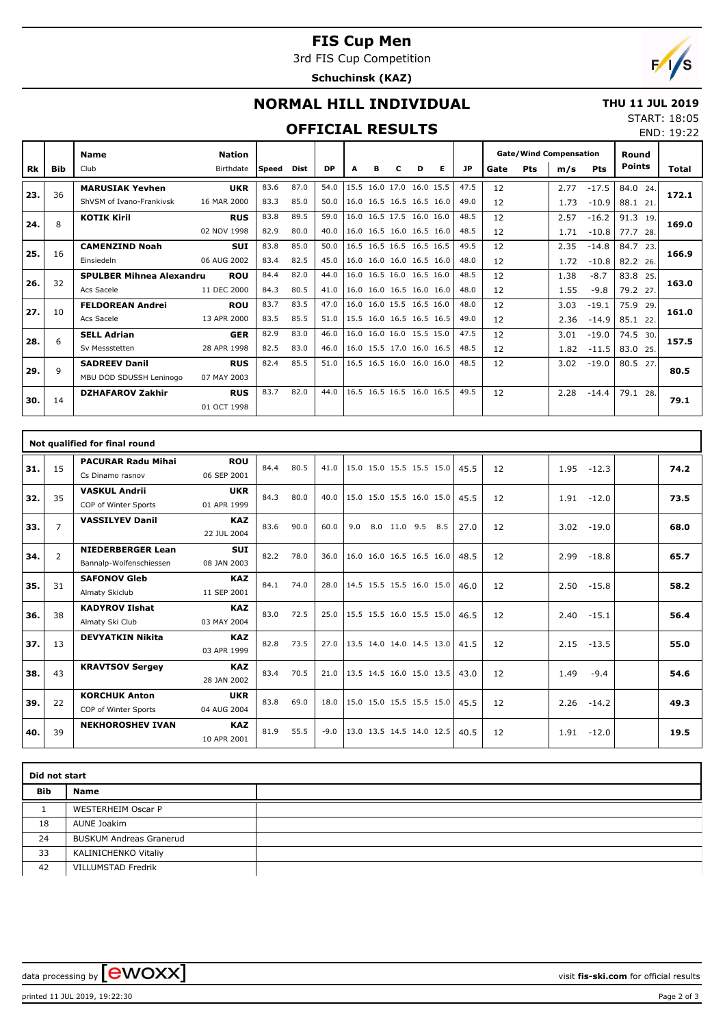## **FIS Cup Men**

3rd FIS Cup Competition

**Schuchinsk (KAZ)**



END: 19:22

## **NORMAL HILL INDIVIDUAL**

#### **THU 11 JUL 2019** START: 18:05

### **OFFICIAL RESULTS**

|     |             | <b>Name</b>                     | <b>Nation</b> |       |      |           |      |           |                          |           |                          |      | <b>Gate/Wind Compensation</b> |            |      |            | Round         |       |  |
|-----|-------------|---------------------------------|---------------|-------|------|-----------|------|-----------|--------------------------|-----------|--------------------------|------|-------------------------------|------------|------|------------|---------------|-------|--|
| Rk  | Bib         | Club                            | Birthdate     | Speed | Dist | <b>DP</b> |      | в         |                          | D         | Е                        | JP   | Gate                          | <b>Pts</b> | m/s  | <b>Pts</b> | Points        | Total |  |
|     | 36          | <b>MARUSIAK Yevhen</b>          | <b>UKR</b>    | 83.6  | 87.0 | 54.0      | 15.5 | 16.0 17.0 |                          | 16.0 15.5 |                          | 47.5 | 12                            |            | 2.77 | $-17.5$    | 84.0 24.      |       |  |
| 23. |             | ShVSM of Ivano-Frankivsk        | 16 MAR 2000   | 83.3  | 85.0 | 50.0      |      |           | 16.0 16.5 16.5 16.5 16.0 |           |                          | 49.0 | 12                            |            | 1.73 | $-10.9$    | 88.1 21       | 172.1 |  |
| 24. | 8           | <b>KOTIK Kiril</b>              | <b>RUS</b>    | 83.8  | 89.5 | 59.0      |      |           | 16.0 16.5 17.5 16.0 16.0 |           |                          | 48.5 | 12                            |            | 2.57 | $-16.2$    | 91.3<br>19.   | 169.0 |  |
|     |             |                                 | 02 NOV 1998   | 82.9  | 80.0 | 40.0      |      |           | 16.0 16.5 16.0 16.5 16.0 |           |                          | 48.5 | 12                            |            | 1.71 | $-10.8$    | 77.7<br>- 28. |       |  |
| 25. | 16          | <b>CAMENZIND Noah</b>           | <b>SUI</b>    | 83.8  | 85.0 | 50.0      |      |           | 16.5 16.5 16.5 16.5 16.5 |           |                          | 49.5 | 12                            |            | 2.35 | $-14.8$    | 84.7<br>23.   | 166.9 |  |
|     |             | Einsiedeln                      | 06 AUG 2002   | 83.4  | 82.5 | 45.0      |      |           |                          |           | 16.0 16.0 16.0 16.5 16.0 | 48.0 | 12                            |            | 1.72 | $-10.8$    | 82.2 26.      |       |  |
| 26. | 32          | <b>SPULBER Mihnea Alexandru</b> | <b>ROU</b>    | 84.4  | 82.0 | 44.0      |      |           | 16.0 16.5 16.0 16.5 16.0 |           |                          | 48.5 | 12                            |            | 1.38 | $-8.7$     | 83.8<br>25.   | 163.0 |  |
|     |             | Acs Sacele                      | 11 DEC 2000   | 84.3  | 80.5 | 41.0      |      |           |                          |           | 16.0 16.0 16.5 16.0 16.0 | 48.0 | 12                            |            | 1.55 | $-9.8$     | 79.2 27.      |       |  |
| 27. | 10          | <b>FELDOREAN Andrei</b>         | <b>ROU</b>    | 83.7  | 83.5 | 47.0      |      |           | 16.0 16.0 15.5 16.5 16.0 |           |                          | 48.0 | 12                            |            | 3.03 | $-19.1$    | 75.9<br>29.   | 161.0 |  |
|     |             | Acs Sacele                      | 13 APR 2000   | 83.5  | 85.5 | 51.0      |      |           | 15.5 16.0 16.5 16.5 16.5 |           |                          | 49.0 | 12                            |            | 2.36 | $-14.9$    | 85.1<br>22.   |       |  |
| 28. | 6           | <b>SELL Adrian</b>              | <b>GER</b>    | 82.9  | 83.0 | 46.0      |      |           | 16.0 16.0 16.0 15.5 15.0 |           |                          | 47.5 | 12                            |            | 3.01 | $-19.0$    | 74.5<br>30.   | 157.5 |  |
|     |             | Sv Messstetten                  | 28 APR 1998   | 82.5  | 83.0 | 46.0      |      |           |                          |           | 16.0 15.5 17.0 16.0 16.5 | 48.5 | 12                            |            | 1.82 | $-11.5$    | 83.0<br>25.   |       |  |
| 29. | $\mathsf q$ | <b>SADREEV Danil</b>            | <b>RUS</b>    | 82.4  | 85.5 | 51.0      |      |           | 16.5 16.5 16.0 16.0 16.0 |           |                          | 48.5 | 12                            |            | 3.02 | $-19.0$    | 80.5<br>27.   | 80.5  |  |
|     |             | MBU DOD SDUSSH Leninogo         | 07 MAY 2003   |       |      |           |      |           |                          |           |                          |      |                               |            |      |            |               |       |  |
| 30. | 14          | <b>DZHAFAROV Zakhir</b>         | <b>RUS</b>    | 83.7  | 82.0 | 44.0      |      |           | 16.5 16.5 16.5 16.0 16.5 |           |                          | 49.5 | 12                            |            | 2.28 | $-14.4$    | 79.1<br>28.   | 79.1  |  |
|     |             |                                 | 01 OCT 1998   |       |      |           |      |           |                          |           |                          |      |                               |            |      |            |               |       |  |

|     |                | Not qualified for final round                       |                           |      |      |        |                          |              |     |      |    |      |         |      |
|-----|----------------|-----------------------------------------------------|---------------------------|------|------|--------|--------------------------|--------------|-----|------|----|------|---------|------|
| 31. | 15             | <b>PACURAR Radu Mihai</b><br>Cs Dinamo rasnov       | <b>ROU</b><br>06 SEP 2001 | 84.4 | 80.5 | 41.0   | 15.0 15.0 15.5 15.5 15.0 |              |     | 45.5 | 12 | 1.95 | $-12.3$ | 74.2 |
| 32. | 35             | <b>VASKUL Andrii</b><br>COP of Winter Sports        | <b>UKR</b><br>01 APR 1999 | 84.3 | 80.0 | 40.0   | 15.0 15.0 15.5 16.0 15.0 |              |     | 45.5 | 12 | 1.91 | $-12.0$ | 73.5 |
| 33. | $\overline{7}$ | <b>VASSILYEV Danil</b>                              | <b>KAZ</b><br>22 JUL 2004 | 83.6 | 90.0 | 60.0   | 9.0                      | 8.0 11.0 9.5 | 8.5 | 27.0 | 12 | 3.02 | $-19.0$ | 68.0 |
| 34. | $\overline{2}$ | <b>NIEDERBERGER Lean</b><br>Bannalp-Wolfenschiessen | <b>SUI</b><br>08 JAN 2003 | 82.2 | 78.0 | 36.0   | 16.0 16.0 16.5 16.5 16.0 |              |     | 48.5 | 12 | 2.99 | $-18.8$ | 65.7 |
| 35. | 31             | <b>SAFONOV Gleb</b><br>Almaty Skiclub               | <b>KAZ</b><br>11 SEP 2001 | 84.1 | 74.0 | 28.0   | 14.5 15.5 15.5 16.0 15.0 |              |     | 46.0 | 12 | 2.50 | $-15.8$ | 58.2 |
| 36. | 38             | <b>KADYROV Ilshat</b><br>Almaty Ski Club            | <b>KAZ</b><br>03 MAY 2004 | 83.0 | 72.5 | 25.0   | 15.5 15.5 16.0 15.5 15.0 |              |     | 46.5 | 12 | 2.40 | $-15.1$ | 56.4 |
| 37. | 13             | <b>DEVYATKIN Nikita</b>                             | <b>KAZ</b><br>03 APR 1999 | 82.8 | 73.5 | 27.0   | 13.5 14.0 14.0 14.5 13.0 |              |     | 41.5 | 12 | 2.15 | $-13.5$ | 55.0 |
| 38. | 43             | <b>KRAVTSOV Sergey</b>                              | <b>KAZ</b><br>28 JAN 2002 | 83.4 | 70.5 | 21.0   | 13.5 14.5 16.0 15.0 13.5 |              |     | 43.0 | 12 | 1.49 | $-9.4$  | 54.6 |
| 39. | 22             | <b>KORCHUK Anton</b><br>COP of Winter Sports        | <b>UKR</b><br>04 AUG 2004 | 83.8 | 69.0 | 18.0   | 15.0 15.0 15.5 15.5 15.0 |              |     | 45.5 | 12 | 2.26 | $-14.2$ | 49.3 |
| 40. | 39             | <b>NEKHOROSHEV IVAN</b>                             | <b>KAZ</b><br>10 APR 2001 | 81.9 | 55.5 | $-9.0$ | 13.0 13.5 14.5 14.0 12.5 |              |     | 40.5 | 12 | 1.91 | $-12.0$ | 19.5 |

|            | Did not start                  |  |  |  |  |  |  |  |  |  |  |
|------------|--------------------------------|--|--|--|--|--|--|--|--|--|--|
| <b>Bib</b> | Name                           |  |  |  |  |  |  |  |  |  |  |
|            | <b>WESTERHEIM Oscar P</b>      |  |  |  |  |  |  |  |  |  |  |
| 18         | <b>AUNE Joakim</b>             |  |  |  |  |  |  |  |  |  |  |
| 24         | <b>BUSKUM Andreas Granerud</b> |  |  |  |  |  |  |  |  |  |  |
| 33         | KALINICHENKO Vitaliy           |  |  |  |  |  |  |  |  |  |  |
| 42         | VILLUMSTAD Fredrik             |  |  |  |  |  |  |  |  |  |  |

data processing by **CWOXX**  $\blacksquare$